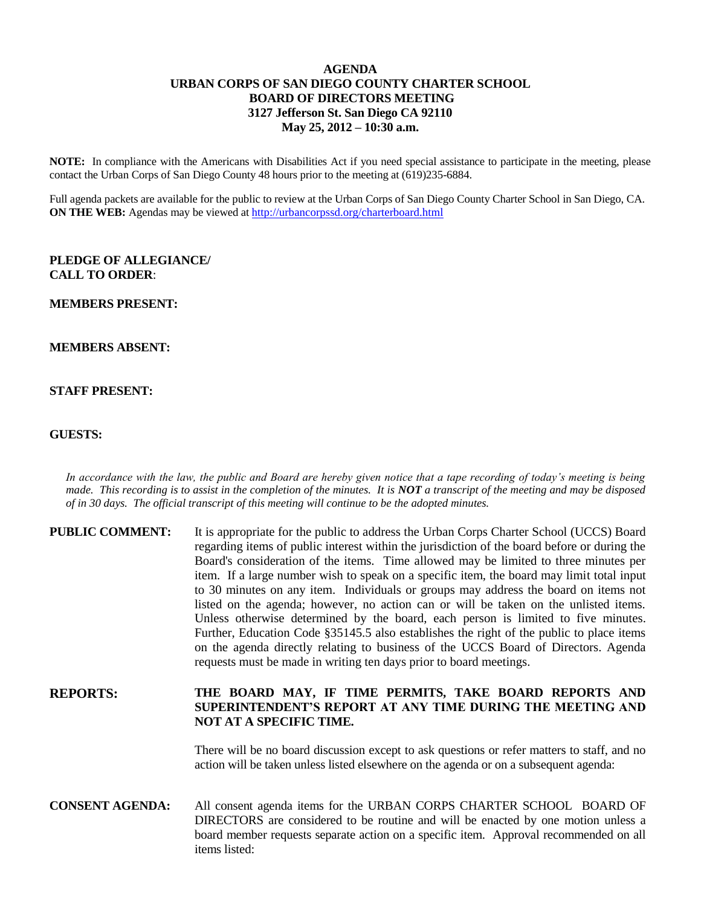# **AGENDA URBAN CORPS OF SAN DIEGO COUNTY CHARTER SCHOOL BOARD OF DIRECTORS MEETING 3127 Jefferson St. San Diego CA 92110 May 25, 2012 – 10:30 a.m.**

**NOTE:** In compliance with the Americans with Disabilities Act if you need special assistance to participate in the meeting, please contact the Urban Corps of San Diego County 48 hours prior to the meeting at (619)235-6884.

Full agenda packets are available for the public to review at the Urban Corps of San Diego County Charter School in San Diego, CA. **ON THE WEB:** Agendas may be viewed at<http://urbancorpssd.org/charterboard.html>

### **PLEDGE OF ALLEGIANCE/ CALL TO ORDER**:

#### **MEMBERS PRESENT:**

#### **MEMBERS ABSENT:**

## **STAFF PRESENT:**

### **GUESTS:**

*In accordance with the law, the public and Board are hereby given notice that a tape recording of today's meeting is being made. This recording is to assist in the completion of the minutes. It is NOT a transcript of the meeting and may be disposed of in 30 days. The official transcript of this meeting will continue to be the adopted minutes.*

| <b>PUBLIC COMMENT:</b> | It is appropriate for the public to address the Urban Corps Charter School (UCCS) Board<br>regarding items of public interest within the jurisdiction of the board before or during the<br>Board's consideration of the items. Time allowed may be limited to three minutes per<br>item. If a large number wish to speak on a specific item, the board may limit total input<br>to 30 minutes on any item. Individuals or groups may address the board on items not<br>listed on the agenda; however, no action can or will be taken on the unlisted items.<br>Unless otherwise determined by the board, each person is limited to five minutes.<br>Further, Education Code §35145.5 also establishes the right of the public to place items<br>on the agenda directly relating to business of the UCCS Board of Directors. Agenda<br>requests must be made in writing ten days prior to board meetings. |
|------------------------|----------------------------------------------------------------------------------------------------------------------------------------------------------------------------------------------------------------------------------------------------------------------------------------------------------------------------------------------------------------------------------------------------------------------------------------------------------------------------------------------------------------------------------------------------------------------------------------------------------------------------------------------------------------------------------------------------------------------------------------------------------------------------------------------------------------------------------------------------------------------------------------------------------|
|                        |                                                                                                                                                                                                                                                                                                                                                                                                                                                                                                                                                                                                                                                                                                                                                                                                                                                                                                          |

# **REPORTS: THE BOARD MAY, IF TIME PERMITS, TAKE BOARD REPORTS AND SUPERINTENDENT'S REPORT AT ANY TIME DURING THE MEETING AND NOT AT A SPECIFIC TIME.**

There will be no board discussion except to ask questions or refer matters to staff, and no action will be taken unless listed elsewhere on the agenda or on a subsequent agenda:

**CONSENT AGENDA:** All consent agenda items for the URBAN CORPS CHARTER SCHOOL BOARD OF DIRECTORS are considered to be routine and will be enacted by one motion unless a board member requests separate action on a specific item. Approval recommended on all items listed: